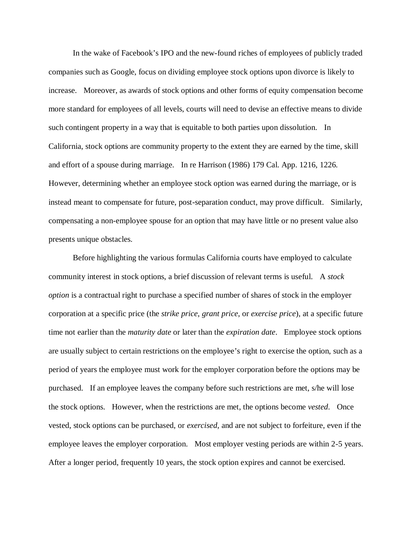In the wake of Facebook's IPO and the new-found riches of employees of publicly traded companies such as Google, focus on dividing employee stock options upon divorce is likely to increase. Moreover, as awards of stock options and other forms of equity compensation become more standard for employees of all levels, courts will need to devise an effective means to divide such contingent property in a way that is equitable to both parties upon dissolution. In California, stock options are community property to the extent they are earned by the time, skill and effort of a spouse during marriage. In re Harrison (1986) 179 Cal. App. 1216, 1226. However, determining whether an employee stock option was earned during the marriage, or is instead meant to compensate for future, post-separation conduct, may prove difficult. Similarly, compensating a non-employee spouse for an option that may have little or no present value also presents unique obstacles.

Before highlighting the various formulas California courts have employed to calculate community interest in stock options, a brief discussion of relevant terms is useful. A *stock option* is a contractual right to purchase a specified number of shares of stock in the employer corporation at a specific price (the *strike price*, *grant price*, or *exercise price*), at a specific future time not earlier than the *maturity date* or later than the *expiration date*. Employee stock options are usually subject to certain restrictions on the employee's right to exercise the option, such as a period of years the employee must work for the employer corporation before the options may be purchased. If an employee leaves the company before such restrictions are met, s/he will lose the stock options. However, when the restrictions are met, the options become *vested*. Once vested, stock options can be purchased, or *exercised*, and are not subject to forfeiture, even if the employee leaves the employer corporation. Most employer vesting periods are within 2-5 years. After a longer period, frequently 10 years, the stock option expires and cannot be exercised.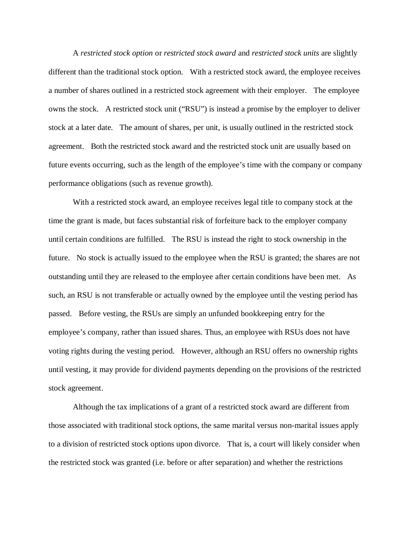A *restricted stock option* or *restricted stock award* and *restricted stock units* are slightly different than the traditional stock option. With a restricted stock award, the employee receives a number of shares outlined in a restricted stock agreement with their employer. The employee owns the stock. A restricted stock unit ("RSU") is instead a promise by the employer to deliver stock at a later date. The amount of shares, per unit, is usually outlined in the restricted stock agreement. Both the restricted stock award and the restricted stock unit are usually based on future events occurring, such as the length of the employee's time with the company or company performance obligations (such as revenue growth).

With a restricted stock award, an employee receives legal title to company stock at the time the grant is made, but faces substantial risk of forfeiture back to the employer company until certain conditions are fulfilled. The RSU is instead the right to stock ownership in the future. No stock is actually issued to the employee when the RSU is granted; the shares are not outstanding until they are released to the employee after certain conditions have been met. As such, an RSU is not transferable or actually owned by the employee until the vesting period has passed. Before vesting, the RSUs are simply an unfunded bookkeeping entry for the employee's company, rather than issued shares. Thus, an employee with RSUs does not have voting rights during the vesting period. However, although an RSU offers no ownership rights until vesting, it may provide for dividend payments depending on the provisions of the restricted stock agreement.

Although the tax implications of a grant of a restricted stock award are different from those associated with traditional stock options, the same marital versus non-marital issues apply to a division of restricted stock options upon divorce. That is, a court will likely consider when the restricted stock was granted (i.e. before or after separation) and whether the restrictions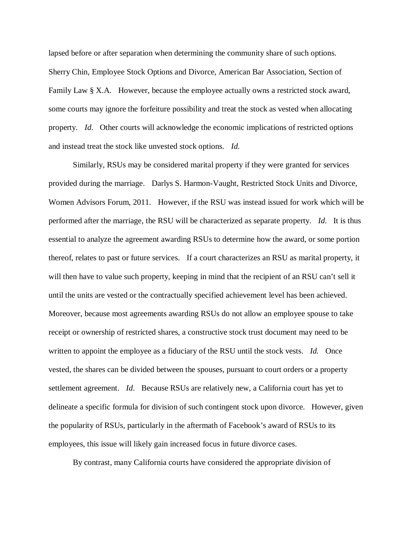lapsed before or after separation when determining the community share of such options. Sherry Chin, Employee Stock Options and Divorce, American Bar Association, Section of Family Law § X.A. However, because the employee actually owns a restricted stock award, some courts may ignore the forfeiture possibility and treat the stock as vested when allocating property. *Id*. Other courts will acknowledge the economic implications of restricted options and instead treat the stock like unvested stock options. *Id*.

Similarly, RSUs may be considered marital property if they were granted for services provided during the marriage. Darlys S. Harmon-Vaught, Restricted Stock Units and Divorce, Women Advisors Forum, 2011. However, if the RSU was instead issued for work which will be performed after the marriage, the RSU will be characterized as separate property. *Id*. It is thus essential to analyze the agreement awarding RSUs to determine how the award, or some portion thereof, relates to past or future services. If a court characterizes an RSU as marital property, it will then have to value such property, keeping in mind that the recipient of an RSU can't sell it until the units are vested or the contractually specified achievement level has been achieved. Moreover, because most agreements awarding RSUs do not allow an employee spouse to take receipt or ownership of restricted shares, a constructive stock trust document may need to be written to appoint the employee as a fiduciary of the RSU until the stock vests. *Id.* Once vested, the shares can be divided between the spouses, pursuant to court orders or a property settlement agreement. *Id*. Because RSUs are relatively new, a California court has yet to delineate a specific formula for division of such contingent stock upon divorce. However, given the popularity of RSUs, particularly in the aftermath of Facebook's award of RSUs to its employees, this issue will likely gain increased focus in future divorce cases.

By contrast, many California courts have considered the appropriate division of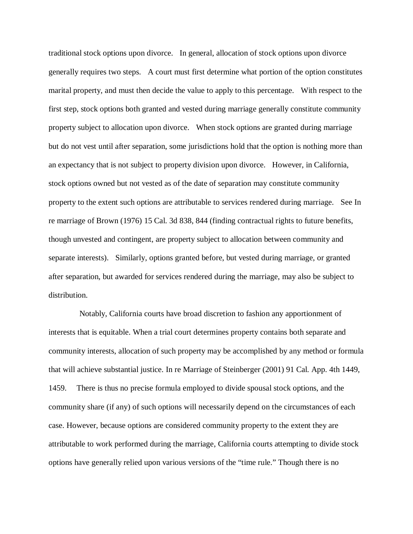traditional stock options upon divorce. In general, allocation of stock options upon divorce generally requires two steps. A court must first determine what portion of the option constitutes marital property, and must then decide the value to apply to this percentage. With respect to the first step, stock options both granted and vested during marriage generally constitute community property subject to allocation upon divorce. When stock options are granted during marriage but do not vest until after separation, some jurisdictions hold that the option is nothing more than an expectancy that is not subject to property division upon divorce. However, in California, stock options owned but not vested as of the date of separation may constitute community property to the extent such options are attributable to services rendered during marriage. See In re marriage of Brown (1976) 15 Cal. 3d 838, 844 (finding contractual rights to future benefits, though unvested and contingent, are property subject to allocation between community and separate interests). Similarly, options granted before, but vested during marriage, or granted after separation, but awarded for services rendered during the marriage, may also be subject to distribution.

 Notably, California courts have broad discretion to fashion any apportionment of interests that is equitable. When a trial court determines property contains both separate and community interests, allocation of such property may be accomplished by any method or formula that will achieve substantial justice. In re Marriage of Steinberger (2001) 91 Cal. App. 4th 1449, 1459. There is thus no precise formula employed to divide spousal stock options, and the community share (if any) of such options will necessarily depend on the circumstances of each case. However, because options are considered community property to the extent they are attributable to work performed during the marriage, California courts attempting to divide stock options have generally relied upon various versions of the "time rule." Though there is no